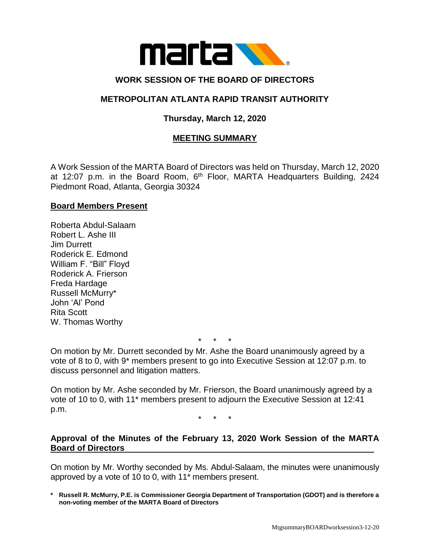

# **WORK SESSION OF THE BOARD OF DIRECTORS**

## **METROPOLITAN ATLANTA RAPID TRANSIT AUTHORITY**

# **Thursday, March 12, 2020**

## **MEETING SUMMARY**

A Work Session of the MARTA Board of Directors was held on Thursday, March 12, 2020 at 12:07 p.m. in the Board Room, 6<sup>th</sup> Floor, MARTA Headquarters Building, 2424 Piedmont Road, Atlanta, Georgia 30324

### **Board Members Present**

Roberta Abdul-Salaam Robert L. Ashe III Jim Durrett Roderick E. Edmond William F. "Bill" Floyd Roderick A. Frierson Freda Hardage Russell McMurry\* John 'Al' Pond Rita Scott W. Thomas Worthy

\* \* \*

On motion by Mr. Durrett seconded by Mr. Ashe the Board unanimously agreed by a vote of 8 to 0, with 9\* members present to go into Executive Session at 12:07 p.m. to discuss personnel and litigation matters.

On motion by Mr. Ashe seconded by Mr. Frierson, the Board unanimously agreed by a vote of 10 to 0, with 11\* members present to adjourn the Executive Session at 12:41 p.m.

\* \* \*

### **Approval of the Minutes of the February 13, 2020 Work Session of the MARTA Board of Directors**

On motion by Mr. Worthy seconded by Ms. Abdul-Salaam, the minutes were unanimously approved by a vote of 10 to 0, with 11\* members present.

**\* Russell R. McMurry, P.E. is Commissioner Georgia Department of Transportation (GDOT) and is therefore a non-voting member of the MARTA Board of Directors**